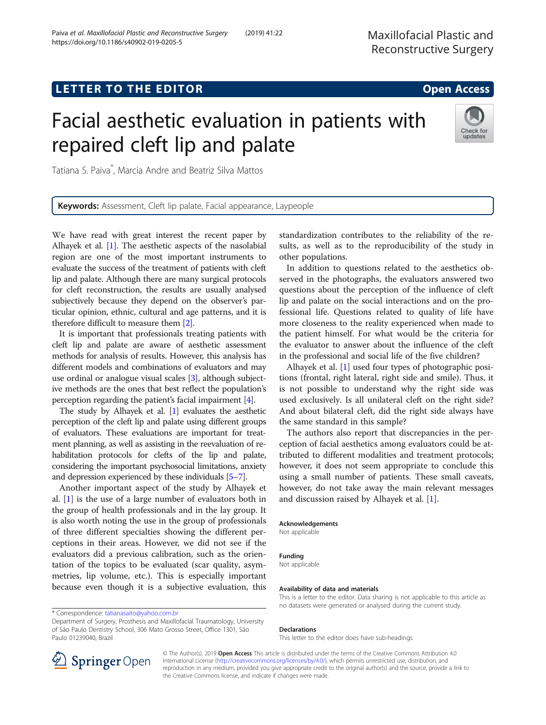## **LETTER TO THE EDITOR CONSIDERING ACCESS**

# Facial aesthetic evaluation in patients with repaired cleft lip and palate

Tatiana S. Paiva\* , Marcia Andre and Beatriz Silva Mattos

Keywords: Assessment, Cleft lip palate, Facial appearance, Laypeople

We have read with great interest the recent paper by Alhayek et al. [\[1](#page-1-0)]. The aesthetic aspects of the nasolabial region are one of the most important instruments to evaluate the success of the treatment of patients with cleft lip and palate. Although there are many surgical protocols for cleft reconstruction, the results are usually analysed subjectively because they depend on the observer's particular opinion, ethnic, cultural and age patterns, and it is therefore difficult to measure them [\[2](#page-1-0)].

It is important that professionals treating patients with cleft lip and palate are aware of aesthetic assessment methods for analysis of results. However, this analysis has different models and combinations of evaluators and may use ordinal or analogue visual scales [\[3](#page-1-0)], although subjective methods are the ones that best reflect the population's perception regarding the patient's facial impairment [\[4\]](#page-1-0).

The study by Alhayek et al. [[1](#page-1-0)] evaluates the aesthetic perception of the cleft lip and palate using different groups of evaluators. These evaluations are important for treatment planning, as well as assisting in the reevaluation of rehabilitation protocols for clefts of the lip and palate, considering the important psychosocial limitations, anxiety and depression experienced by these individuals [[5](#page-1-0)–[7\]](#page-1-0).

Another important aspect of the study by Alhayek et al. [\[1](#page-1-0)] is the use of a large number of evaluators both in the group of health professionals and in the lay group. It is also worth noting the use in the group of professionals of three different specialties showing the different perceptions in their areas. However, we did not see if the evaluators did a previous calibration, such as the orientation of the topics to be evaluated (scar quality, asymmetries, lip volume, etc.). This is especially important because even though it is a subjective evaluation, this

\* Correspondence: [tatianasaito@yahoo.com.br](mailto:tatianasaito@yahoo.com.br)

Department of Surgery, Prosthesis and Maxillofacial Traumatology, University of São Paulo Dentistry School, 306 Mato Grosso Street, Office 1301, São Paulo 01239040, Brazil

standardization contributes to the reliability of the results, as well as to the reproducibility of the study in other populations.

In addition to questions related to the aesthetics observed in the photographs, the evaluators answered two questions about the perception of the influence of cleft lip and palate on the social interactions and on the professional life. Questions related to quality of life have more closeness to the reality experienced when made to the patient himself. For what would be the criteria for the evaluator to answer about the influence of the cleft in the professional and social life of the five children?

Alhayek et al. [\[1](#page-1-0)] used four types of photographic positions (frontal, right lateral, right side and smile). Thus, it is not possible to understand why the right side was used exclusively. Is all unilateral cleft on the right side? And about bilateral cleft, did the right side always have the same standard in this sample?

The authors also report that discrepancies in the perception of facial aesthetics among evaluators could be attributed to different modalities and treatment protocols; however, it does not seem appropriate to conclude this using a small number of patients. These small caveats, however, do not take away the main relevant messages and discussion raised by Alhayek et al. [[1](#page-1-0)].

#### Acknowledgements

Not applicable

#### Funding

Not applicable

#### Availability of data and materials

This is a letter to the editor. Data sharing is not applicable to this article as no datasets were generated or analysed during the current study.

#### Declarations

This letter to the editor does have sub-headings

© The Author(s). 2019 Open Access This article is distributed under the terms of the Creative Commons Attribution 4.0 International License ([http://creativecommons.org/licenses/by/4.0/\)](http://creativecommons.org/licenses/by/4.0/), which permits unrestricted use, distribution, and reproduction in any medium, provided you give appropriate credit to the original author(s) and the source, provide a link to the Creative Commons license, and indicate if changes were made.